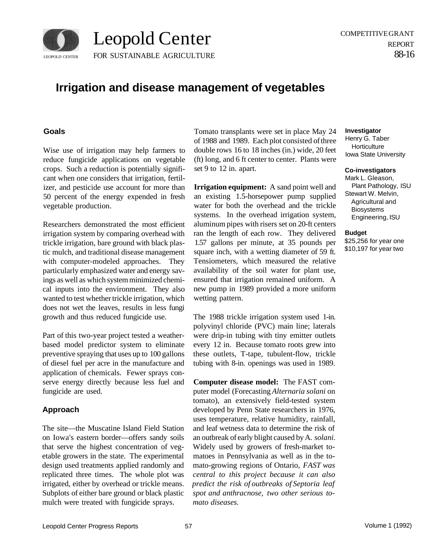

# **Irrigation and disease management of vegetables**

## **Goals**

Wise use of irrigation may help farmers to reduce fungicide applications on vegetable crops. Such a reduction is potentially significant when one considers that irrigation, fertilizer, and pesticide use account for more than 50 percent of the energy expended in fresh vegetable production.

Researchers demonstrated the most efficient irrigation system by comparing overhead with trickle irrigation, bare ground with black plastic mulch, and traditional disease management with computer-modeled approaches. They particularly emphasized water and energy savings as well as which system minimized chemical inputs into the environment. They also wanted to test whether trickle irrigation, which does not wet the leaves, results in less fungi growth and thus reduced fungicide use.

Part of this two-year project tested a weatherbased model predictor system to eliminate preventive spraying that uses up to 100 gallons of diesel fuel per acre in the manufacture and application of chemicals. Fewer sprays conserve energy directly because less fuel and fungicide are used.

# **Approach**

The site—the Muscatine Island Field Station on Iowa's eastern border—offers sandy soils that serve the highest concentration of vegetable growers in the state. The experimental design used treatments applied randomly and replicated three times. The whole plot was irrigated, either by overhead or trickle means. Subplots of either bare ground or black plastic mulch were treated with fungicide sprays.

Tomato transplants were set in place May 24 of 1988 and 1989. Each plot consisted of three double rows 16 to 18 inches (in.) wide, 20 feet (ft) long, and 6 ft center to center. Plants were set 9 to 12 in. apart.

**Irrigation equipment:** A sand point well and an existing 1.5-horsepower pump supplied water for both the overhead and the trickle systems. In the overhead irrigation system, aluminum pipes with risers set on 20-ft centers ran the length of each row. They delivered 1.57 gallons per minute, at 35 pounds per square inch, with a wetting diameter of 59 ft. Tensiometers, which measured the relative availability of the soil water for plant use, ensured that irrigation remained uniform. A new pump in 1989 provided a more uniform wetting pattern.

The 1988 trickle irrigation system used 1-in. polyvinyl chloride (PVC) main line; laterals were drip-in tubing with tiny emitter outlets every 12 in. Because tomato roots grew into these outlets, T-tape, tubulent-flow, trickle tubing with 8-in. openings was used in 1989.

**Computer disease model:** The FAST computer model (Forecasting *Alternaria solani* on tomato), an extensively field-tested system developed by Penn State researchers in 1976, uses temperature, relative humidity, rainfall, and leaf wetness data to determine the risk of an outbreak of early blight caused by A. *solani.*  Widely used by growers of fresh-market tomatoes in Pennsylvania as well as in the tomato-growing regions of Ontario, *FAST was central to this project because it can also predict the risk of outbreaks of Septoria leaf spot and anthracnose, two other serious tomato diseases.* 

## **Investigator**

Henry G. Taber **Horticulture** Iowa State University

#### **Co-investigators**

Mark L. Gleason, Plant Pathology, ISU Stewart W. Melvin, Agricultural and Biosystems Engineering, ISU

#### **Budget**

\$25,256 for year one \$10,197 for year two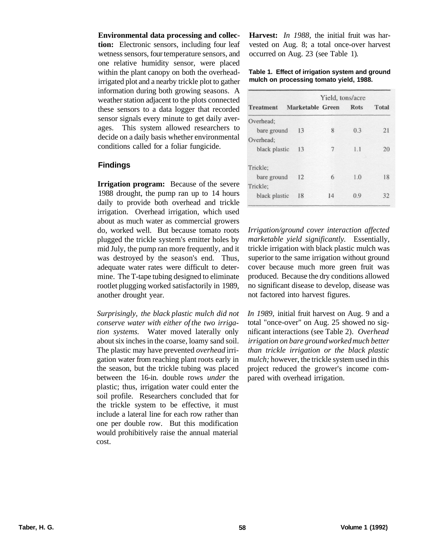## **Environmental data processing and collec-**

**tion:** Electronic sensors, including four leaf wetness sensors, four temperature sensors, and one relative humidity sensor, were placed within the plant canopy on both the overheadirrigated plot and a nearby trickle plot to gather information during both growing seasons. A weather station adjacent to the plots connected these sensors to a data logger that recorded sensor signals every minute to get daily averages. This system allowed researchers to decide on a daily basis whether environmental conditions called for a foliar fungicide.

# **Findings**

**Irrigation program:** Because of the severe 1988 drought, the pump ran up to 14 hours daily to provide both overhead and trickle irrigation. Overhead irrigation, which used about as much water as commercial growers do, worked well. But because tomato roots plugged the trickle system's emitter holes by mid July, the pump ran more frequently, and it was destroyed by the season's end. Thus, adequate water rates were difficult to determine. The T-tape tubing designed to eliminate rootlet plugging worked satisfactorily in 1989, another drought year.

*Surprisingly, the black plastic mulch did not conserve water with either of the two irrigation systems.* Water moved laterally only about six inches in the coarse, loamy sand soil. The plastic may have prevented *overhead* irrigation water from reaching plant roots early in the season, but the trickle tubing was placed between the 16-in. double rows *under* the plastic; thus, irrigation water could enter the soil profile. Researchers concluded that for the trickle system to be effective, it must include a lateral line for each row rather than one per double row. But this modification would prohibitively raise the annual material cost.

**Harvest:** *In 1988,* the initial fruit was harvested on Aug. 8; a total once-over harvest occurred on Aug. 23 (see Table 1).

## **Table 1. Effect of irrigation system and ground mulch on processing tomato yield, 1988.**

| Marketable Green |    |      |              |
|------------------|----|------|--------------|
|                  |    | Rots | <b>Total</b> |
|                  |    |      |              |
| 13               | 8  | 0.3  | 21           |
|                  |    |      |              |
| 13               | 7  | 1.1  | 20           |
|                  |    |      |              |
| 12               | 6  | 1.0  | 18           |
|                  |    |      |              |
| 18               | 14 | 0.9  | 32           |
|                  |    |      |              |

*Irrigation/ground cover interaction affected marketable yield significantly.* Essentially, trickle irrigation with black plastic mulch was superior to the same irrigation without ground cover because much more green fruit was produced. Because the dry conditions allowed no significant disease to develop, disease was not factored into harvest figures.

*In 1989,* initial fruit harvest on Aug. 9 and a total "once-over" on Aug. 25 showed no significant interactions (see Table 2). *Overhead irrigation on bare ground worked much better than trickle irrigation or the black plastic mulch;* however, the trickle system used in this project reduced the grower's income compared with overhead irrigation.